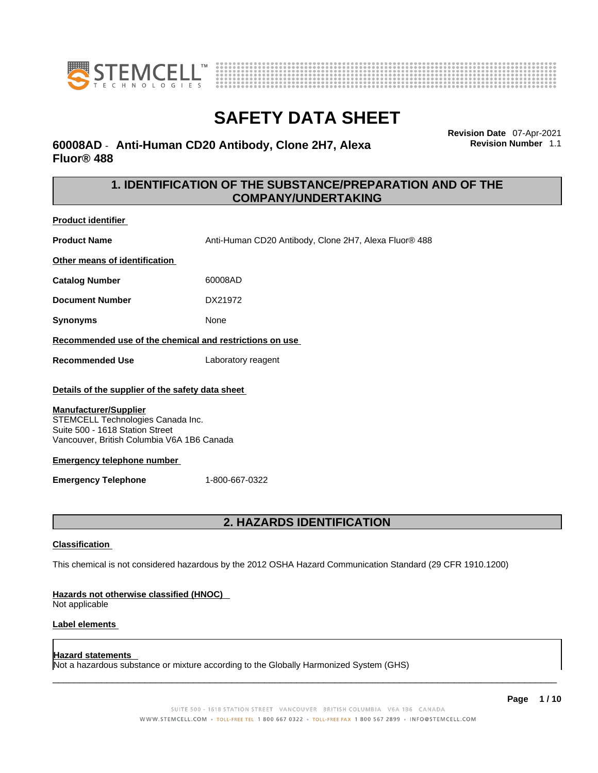



# **60008AD** - **Anti-Human CD20 Antibody, Clone 2H7, Alexa Fluor® 488**

**Revision Date** 07-Apr-2021 **Revision Number** 1.1

# **1. IDENTIFICATION OF THE SUBSTANCE/PREPARATION AND OF THE COMPANY/UNDERTAKING**

**Product identifier Product Name** Anti-Human CD20 Antibody, Clone 2H7, Alexa Fluor® 488 **Other means of identification Catalog Number** 60008AD **Document Number** DX21972 **Synonyms** None **Recommended use of the chemical and restrictions on use Recommended Use** Laboratory reagent **Details of the supplier of the safety data sheet**

#### **Manufacturer/Supplier**

STEMCELL Technologies Canada Inc. Suite 500 - 1618 Station Street Vancouver, British Columbia V6A 1B6 Canada

#### **Emergency telephone number**

**Emergency Telephone** 1-800-667-0322

# **2. HAZARDS IDENTIFICATION**

#### **Classification**

This chemical is not considered hazardous by the 2012 OSHA Hazard Communication Standard (29 CFR 1910.1200)

#### **Hazards not otherwise classified (HNOC)**

Not applicable

#### **Label elements**

#### **Hazard statements**

Not a hazardous substance or mixture according to the Globally Harmonized System (GHS)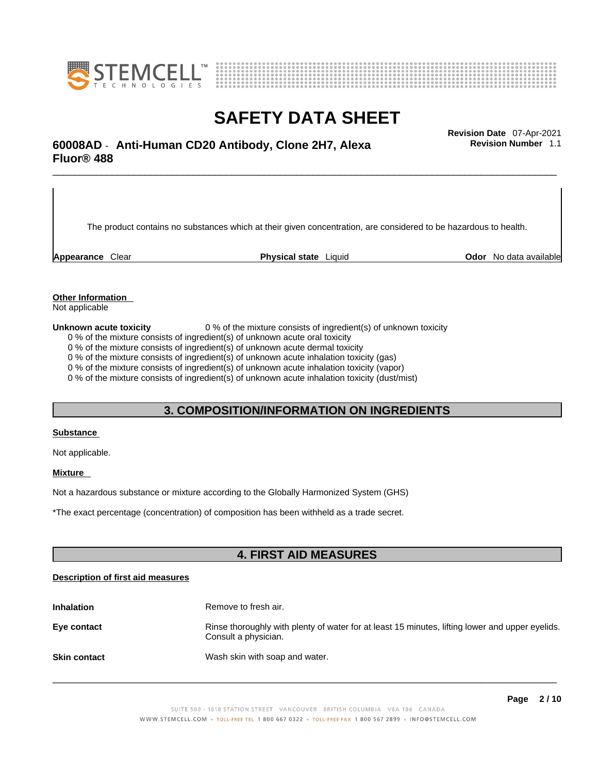



# \_\_\_\_\_\_\_\_\_\_\_\_\_\_\_\_\_\_\_\_\_\_\_\_\_\_\_\_\_\_\_\_\_\_\_\_\_\_\_\_\_\_\_\_\_\_\_\_\_\_\_\_\_\_\_\_\_\_\_\_\_\_\_\_\_\_\_\_\_\_\_\_\_\_\_\_\_\_\_\_\_\_\_\_\_\_\_\_\_\_\_\_\_ **Revision Date** 07-Apr-2021 **60008AD** - **Anti-Human CD20 Antibody, Clone 2H7, Alexa Fluor® 488**

The product contains no substances which at their given concentration, are considered to be hazardous to health.

**Appearance** Clear **Physical state** Liquid **Odor** No data available

**Revision Number** 1.1

**Other Information** 

Not applicable

**Unknown acute toxicity** 0 % of the mixture consists of ingredient(s) of unknown toxicity

0 % of the mixture consists of ingredient(s) of unknown acute oral toxicity

0 % of the mixture consists of ingredient(s) of unknown acute dermal toxicity

0 % of the mixture consists of ingredient(s) of unknown acute inhalation toxicity (gas)

0 % of the mixture consists of ingredient(s) of unknown acute inhalation toxicity (vapor)

0 % of the mixture consists of ingredient(s) of unknown acute inhalation toxicity (dust/mist)

### **3. COMPOSITION/INFORMATION ON INGREDIENTS**

#### **Substance**

Not applicable.

### **Mixture**

Not a hazardous substance or mixture according to the Globally Harmonized System (GHS)

\*The exact percentage (concentration) ofcomposition has been withheld as a trade secret.

### **4. FIRST AID MEASURES**

### **Description of first aid measures**

| <b>Inhalation</b>   | Remove to fresh air.                                                                                                    |
|---------------------|-------------------------------------------------------------------------------------------------------------------------|
| Eye contact         | Rinse thoroughly with plenty of water for at least 15 minutes, lifting lower and upper eyelids.<br>Consult a physician. |
| <b>Skin contact</b> | Wash skin with soap and water.                                                                                          |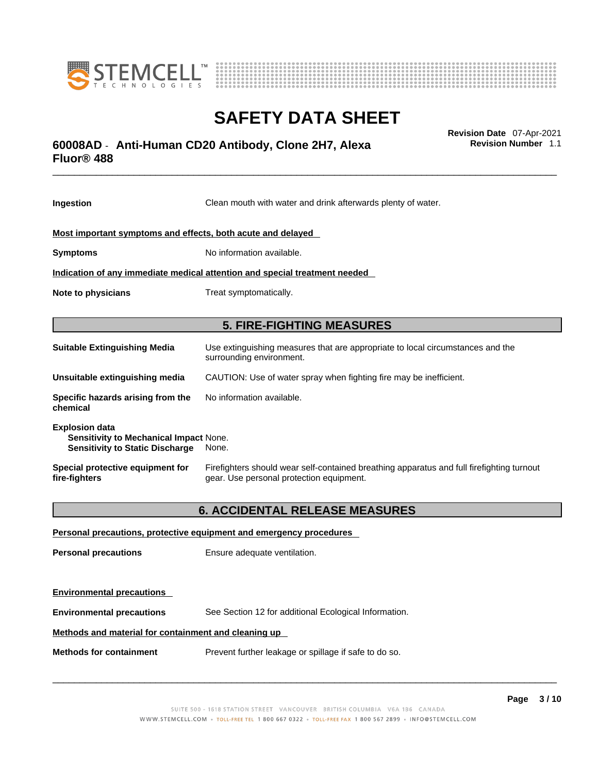



# \_\_\_\_\_\_\_\_\_\_\_\_\_\_\_\_\_\_\_\_\_\_\_\_\_\_\_\_\_\_\_\_\_\_\_\_\_\_\_\_\_\_\_\_\_\_\_\_\_\_\_\_\_\_\_\_\_\_\_\_\_\_\_\_\_\_\_\_\_\_\_\_\_\_\_\_\_\_\_\_\_\_\_\_\_\_\_\_\_\_\_\_\_ **Revision Date** 07-Apr-2021 **60008AD** - **Anti-Human CD20 Antibody, Clone 2H7, Alexa Fluor® 488**

**Ingestion** Clean mouth with water and drink afterwards plenty of water. **Most important symptoms and effects, both acute and delayed Symptoms** No information available. **Indication of any immediate medical attention and special treatment needed Note to physicians** Treat symptomatically. **5. FIRE-FIGHTING MEASURES Suitable Extinguishing Media** Use extinguishing measures that are appropriate to local circumstances and the surrounding environment. **Unsuitable extinguishing media** CAUTION: Use of water spray when fighting fire may be inefficient. **Specific hazards arising from the chemical** No information available. **Explosion data Sensitivity to Mechanical Impact** None. **Sensitivity to Static Discharge** None. **Special protective equipment for fire-fighters** Firefighters should wear self-contained breathing apparatus and full firefighting turnout gear. Use personal protection equipment. **6. ACCIDENTAL RELEASE MEASURES Personal precautions, protective equipment and emergency procedures Personal precautions** Ensure adequate ventilation. **Environmental precautions** 

**Environmental precautions** See Section 12 for additional Ecological Information.

### **Methods and material for containment and cleaning up**

**Methods for containment** Prevent further leakage or spillage if safe to do so.

 $\_$  ,  $\_$  ,  $\_$  ,  $\_$  ,  $\_$  ,  $\_$  ,  $\_$  ,  $\_$  ,  $\_$  ,  $\_$  ,  $\_$  ,  $\_$  ,  $\_$  ,  $\_$  ,  $\_$  ,  $\_$  ,  $\_$  ,  $\_$  ,  $\_$  ,  $\_$  ,  $\_$  ,  $\_$  ,  $\_$  ,  $\_$  ,  $\_$  ,  $\_$  ,  $\_$  ,  $\_$  ,  $\_$  ,  $\_$  ,  $\_$  ,  $\_$  ,  $\_$  ,  $\_$  ,  $\_$  ,  $\_$  ,  $\_$  ,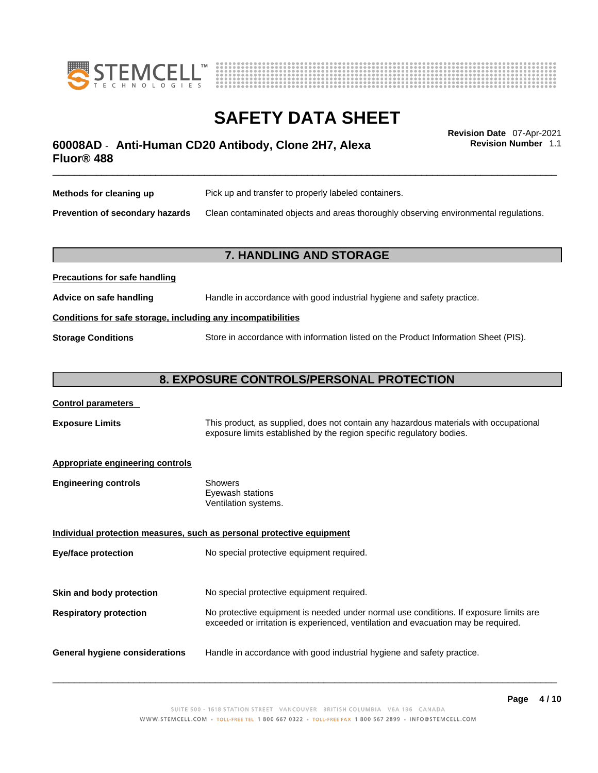



# \_\_\_\_\_\_\_\_\_\_\_\_\_\_\_\_\_\_\_\_\_\_\_\_\_\_\_\_\_\_\_\_\_\_\_\_\_\_\_\_\_\_\_\_\_\_\_\_\_\_\_\_\_\_\_\_\_\_\_\_\_\_\_\_\_\_\_\_\_\_\_\_\_\_\_\_\_\_\_\_\_\_\_\_\_\_\_\_\_\_\_\_\_ **Revision Date** 07-Apr-2021 **60008AD** - **Anti-Human CD20 Antibody, Clone 2H7, Alexa Fluor® 488**

**Revision Number** 1.1

| Methods for cleaning up         | Pick up and transfer to properly labeled containers.                                 |
|---------------------------------|--------------------------------------------------------------------------------------|
| Prevention of secondary hazards | Clean contaminated objects and areas thoroughly observing environmental regulations. |

### **7. HANDLING AND STORAGE**

| Handle in accordance with good industrial hygiene and safety practice.<br>Advice on safe handling |                                                                                     |  |  |
|---------------------------------------------------------------------------------------------------|-------------------------------------------------------------------------------------|--|--|
|                                                                                                   | Conditions for safe storage, including any incompatibilities                        |  |  |
| <b>Storage Conditions</b>                                                                         | Store in accordance with information listed on the Product Information Sheet (PIS). |  |  |

### **8. EXPOSURE CONTROLS/PERSONAL PROTECTION**

### **Control parameters**

**Precautions for safe handling**

**Exposure Limits** This product, as supplied, does not contain any hazardous materials with occupational exposure limits established by the region specific regulatory bodies.

### **Appropriate engineering controls**

| Showers              |  |
|----------------------|--|
| Eyewash stations     |  |
| Ventilation systems. |  |
|                      |  |

**Individual protection measures, such as personal protective equipment Eye/face protection** No special protective equipment required. **Skin and body protection** No special protective equipment required. **Respiratory protection** No protective equipment is needed under normal use conditions. If exposure limits are exceeded or irritation is experienced, ventilation and evacuation may be required. **General hygiene considerations** Handle in accordance with good industrial hygiene and safety practice.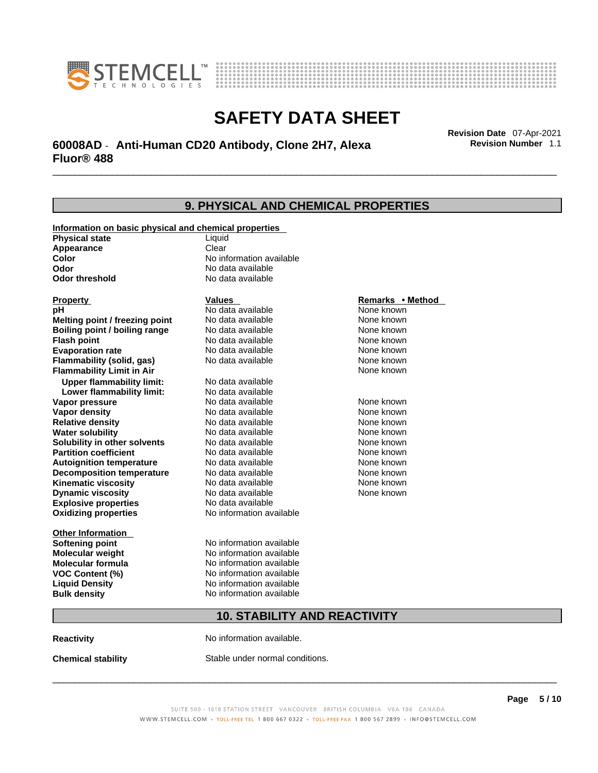



# \_\_\_\_\_\_\_\_\_\_\_\_\_\_\_\_\_\_\_\_\_\_\_\_\_\_\_\_\_\_\_\_\_\_\_\_\_\_\_\_\_\_\_\_\_\_\_\_\_\_\_\_\_\_\_\_\_\_\_\_\_\_\_\_\_\_\_\_\_\_\_\_\_\_\_\_\_\_\_\_\_\_\_\_\_\_\_\_\_\_\_\_\_ **Revision Date** 07-Apr-2021 **60008AD** - **Anti-Human CD20 Antibody, Clone 2H7, Alexa Fluor® 488**

**9. PHYSICAL AND CHEMICAL PROPERTIES Information on basic physical and chemical properties Physical state** Liquid **Appearance** Clear<br> **Color** No int **Color Color Color Color Color Color Color No** data available **Odor Odor Constanting Codor Constanting Codor Codor Codor Codor Codor Codor Codor Codor Codor Codor Codor Codor Codor Codor Codor Codor Codor Codor Codor Codor Codor Codor Codor No data available Explosive properties** No data available **Oxidizing properties** No information available **Other Information Softening point** No information available **Molecular weight** No information available **Molecular formula** No information available<br>**VOC Content (%)** No information available **VOC** Content (%) **Liquid Density** No information available **Bulk density No information available 10. STABILITY AND REACTIVITY Property CONSCRUTE IN THE VALUES REMARKS • Method pH** No data available None known **Melting point / freezing point Boiling point / boiling range Modata available None known Flash point Communist Communist Communist Communist Communist Communist Communist Communist Communist Communist Communist Communist Communist Communist Communist Communist Communist Communist Communist Communist Communi Evaporation rate Configure 1 Accord None Configure 1 Accord None known**<br> **Elammability (solid. gas)** No data available **None known** None known **Flammability (solid, gas)** No data available None known **Flammability Limit in Air None known None known Upper flammability limit:** No data available **Lower flammability limit:** No data available **Vapor pressure No data available None known Vapor density Notata available None known Relative density No data available None known Water solubility No data available Mone known**<br> **Solubility in other solvents** No data available None known None known **Solubility in other solvents** No data available **None known**<br> **Partition coefficient** No data available **None known**<br>
None known **Partition coefficient**<br> **Autoignition temperature**<br>
No data available **Autoignition temperature No data available None known**<br> **Decomposition temperature** No data available **None known**<br>
None known **Decomposition temperature** No data available None known<br> **Kinematic viscosity** No data available None known **Kinematic viscosity** No data available<br> **Dynamic viscosity** No data available **Dynamic viscosity** None known

**Reactivity No information available.** 

**Chemical stability** Stable under normal conditions.

 $\_$  ,  $\_$  ,  $\_$  ,  $\_$  ,  $\_$  ,  $\_$  ,  $\_$  ,  $\_$  ,  $\_$  ,  $\_$  ,  $\_$  ,  $\_$  ,  $\_$  ,  $\_$  ,  $\_$  ,  $\_$  ,  $\_$  ,  $\_$  ,  $\_$  ,  $\_$  ,  $\_$  ,  $\_$  ,  $\_$  ,  $\_$  ,  $\_$  ,  $\_$  ,  $\_$  ,  $\_$  ,  $\_$  ,  $\_$  ,  $\_$  ,  $\_$  ,  $\_$  ,  $\_$  ,  $\_$  ,  $\_$  ,  $\_$  ,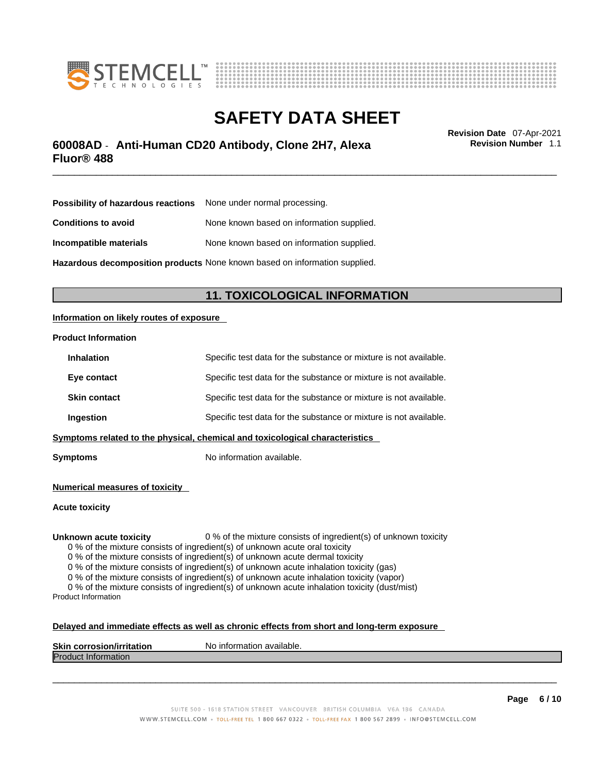



# \_\_\_\_\_\_\_\_\_\_\_\_\_\_\_\_\_\_\_\_\_\_\_\_\_\_\_\_\_\_\_\_\_\_\_\_\_\_\_\_\_\_\_\_\_\_\_\_\_\_\_\_\_\_\_\_\_\_\_\_\_\_\_\_\_\_\_\_\_\_\_\_\_\_\_\_\_\_\_\_\_\_\_\_\_\_\_\_\_\_\_\_\_ **Revision Date** 07-Apr-2021 **60008AD** - **Anti-Human CD20 Antibody, Clone 2H7, Alexa Fluor® 488**

**Revision Number** 1.1

| <b>Possibility of hazardous reactions</b> None under normal processing.    |                                           |  |
|----------------------------------------------------------------------------|-------------------------------------------|--|
| <b>Conditions to avoid</b>                                                 | None known based on information supplied. |  |
| Incompatible materials                                                     | None known based on information supplied. |  |
| Hazardous decomposition products None known based on information supplied. |                                           |  |

# **11. TOXICOLOGICAL INFORMATION**

### **Information on likely routes of exposure**

### **Product Information**

| <b>Inhalation</b>                                                            | Specific test data for the substance or mixture is not available. |  |
|------------------------------------------------------------------------------|-------------------------------------------------------------------|--|
| Eye contact                                                                  | Specific test data for the substance or mixture is not available. |  |
| <b>Skin contact</b>                                                          | Specific test data for the substance or mixture is not available. |  |
| Ingestion                                                                    | Specific test data for the substance or mixture is not available. |  |
| Symptoms related to the physical, chemical and toxicological characteristics |                                                                   |  |

**Symptoms** No information available.

**Numerical measures of toxicity**

**Acute toxicity**

**Unknown acute toxicity** 0 % of the mixture consists of ingredient(s) of unknown toxicity

0 % of the mixture consists of ingredient(s) of unknown acute oral toxicity

0 % of the mixture consists of ingredient(s) of unknown acute dermal toxicity

0 % of the mixture consists of ingredient(s) of unknown acute inhalation toxicity (gas)

0 % of the mixture consists of ingredient(s) of unknown acute inhalation toxicity (vapor)

0 % of the mixture consists of ingredient(s) of unknown acute inhalation toxicity (dust/mist) Product Information

#### **Delayed and immediate effects as well as chronic effects from short and long-term exposure**

| <b>Skin corrosion/irritation</b> | No information available. |
|----------------------------------|---------------------------|
| Product.<br>∷information         |                           |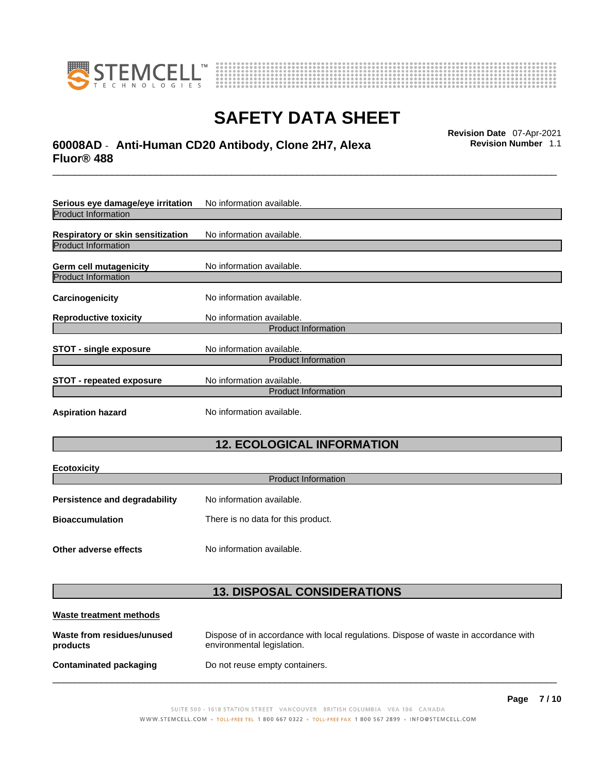



# \_\_\_\_\_\_\_\_\_\_\_\_\_\_\_\_\_\_\_\_\_\_\_\_\_\_\_\_\_\_\_\_\_\_\_\_\_\_\_\_\_\_\_\_\_\_\_\_\_\_\_\_\_\_\_\_\_\_\_\_\_\_\_\_\_\_\_\_\_\_\_\_\_\_\_\_\_\_\_\_\_\_\_\_\_\_\_\_\_\_\_\_\_ **Revision Date** 07-Apr-2021 **60008AD** - **Anti-Human CD20 Antibody, Clone 2H7, Alexa Fluor® 488**

**Serious eye damage/eye irritation** No information available. Product Information **Respiratory or skin sensitization** No information available. Product Information **Germ cell mutagenicity** No information available. Product Information **Carcinogenicity** No information available. **Reproductive toxicity** No information available. Product Information **STOT** - single exposure<br>
No information available. Product Information **STOT** - **repeated exposure** No information available. Product Information **Aspiration hazard** No information available.

# **12. ECOLOGICAL INFORMATION**

| <b>Ecotoxicity</b>            |                                    |  |
|-------------------------------|------------------------------------|--|
| <b>Product Information</b>    |                                    |  |
| Persistence and degradability | No information available.          |  |
| <b>Bioaccumulation</b>        | There is no data for this product. |  |
|                               |                                    |  |
| Other adverse effects         | No information available.          |  |

# **13. DISPOSAL CONSIDERATIONS**

| Waste treatment methods                |                                                                                                                    |
|----------------------------------------|--------------------------------------------------------------------------------------------------------------------|
| Waste from residues/unused<br>products | Dispose of in accordance with local regulations. Dispose of waste in accordance with<br>environmental legislation. |
| Contaminated packaging                 | Do not reuse empty containers.                                                                                     |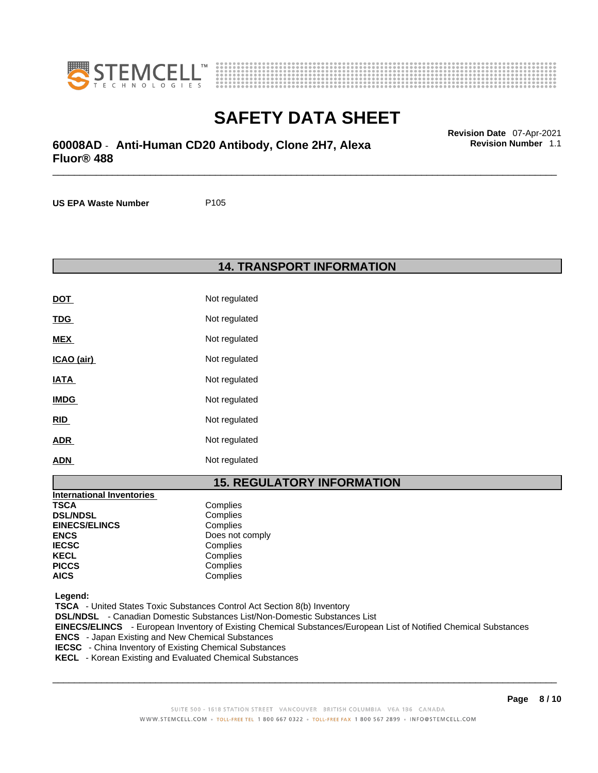



# \_\_\_\_\_\_\_\_\_\_\_\_\_\_\_\_\_\_\_\_\_\_\_\_\_\_\_\_\_\_\_\_\_\_\_\_\_\_\_\_\_\_\_\_\_\_\_\_\_\_\_\_\_\_\_\_\_\_\_\_\_\_\_\_\_\_\_\_\_\_\_\_\_\_\_\_\_\_\_\_\_\_\_\_\_\_\_\_\_\_\_\_\_ **Revision Date** 07-Apr-2021 **60008AD** - **Anti-Human CD20 Antibody, Clone 2H7, Alexa Fluor® 488**

**US EPA Waste Number** P105

**14. TRANSPORT INFORMATION** 

| <b>DOT</b>  | Not regulated |
|-------------|---------------|
| <u>TDG</u>  | Not regulated |
| <b>MEX</b>  | Not regulated |
| ICAO (air)  | Not regulated |
| <b>IATA</b> | Not regulated |
| <b>IMDG</b> | Not regulated |
| <b>RID</b>  | Not regulated |
| <b>ADR</b>  | Not regulated |
| <b>ADN</b>  | Not regulated |

# **15. REGULATORY INFORMATION**

| <b>International Inventories</b> |                 |
|----------------------------------|-----------------|
| <b>TSCA</b>                      | Complies        |
| <b>DSL/NDSL</b>                  | Complies        |
| <b>EINECS/ELINCS</b>             | Complies        |
| <b>ENCS</b>                      | Does not comply |
| <b>IECSC</b>                     | Complies        |
| <b>KECL</b>                      | Complies        |
| <b>PICCS</b>                     | Complies        |
| <b>AICS</b>                      | Complies        |

 **Legend:** 

 **TSCA** - United States Toxic Substances Control Act Section 8(b) Inventory  **DSL/NDSL** - Canadian Domestic Substances List/Non-Domestic Substances List  **EINECS/ELINCS** - European Inventory of Existing Chemical Substances/European List of Notified Chemical Substances  **ENCS** - Japan Existing and New Chemical Substances  **IECSC** - China Inventory of Existing Chemical Substances

 **KECL** - Korean Existing and Evaluated Chemical Substances

 $\_$  ,  $\_$  ,  $\_$  ,  $\_$  ,  $\_$  ,  $\_$  ,  $\_$  ,  $\_$  ,  $\_$  ,  $\_$  ,  $\_$  ,  $\_$  ,  $\_$  ,  $\_$  ,  $\_$  ,  $\_$  ,  $\_$  ,  $\_$  ,  $\_$  ,  $\_$  ,  $\_$  ,  $\_$  ,  $\_$  ,  $\_$  ,  $\_$  ,  $\_$  ,  $\_$  ,  $\_$  ,  $\_$  ,  $\_$  ,  $\_$  ,  $\_$  ,  $\_$  ,  $\_$  ,  $\_$  ,  $\_$  ,  $\_$  ,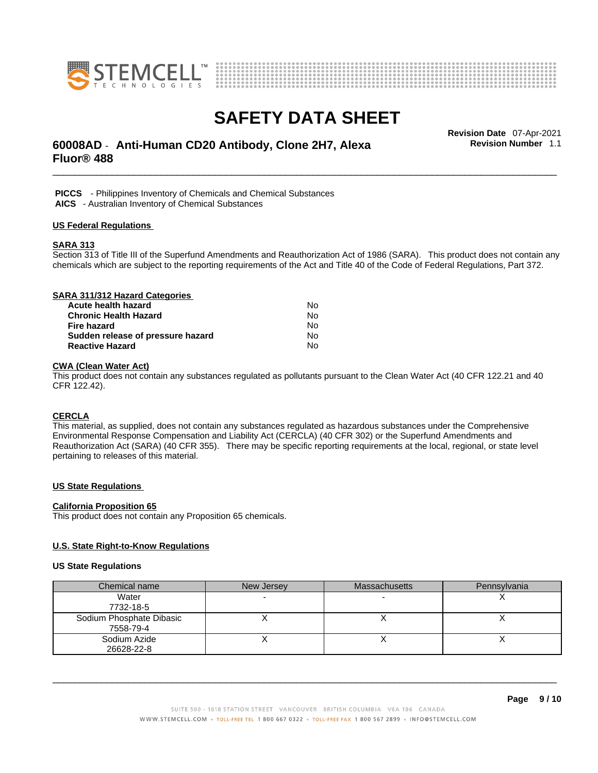



# \_\_\_\_\_\_\_\_\_\_\_\_\_\_\_\_\_\_\_\_\_\_\_\_\_\_\_\_\_\_\_\_\_\_\_\_\_\_\_\_\_\_\_\_\_\_\_\_\_\_\_\_\_\_\_\_\_\_\_\_\_\_\_\_\_\_\_\_\_\_\_\_\_\_\_\_\_\_\_\_\_\_\_\_\_\_\_\_\_\_\_\_\_ **Revision Date** 07-Apr-2021 **60008AD** - **Anti-Human CD20 Antibody, Clone 2H7, Alexa Fluor® 488**

**Revision Number** 1.1

 **PICCS** - Philippines Inventory of Chemicals and Chemical Substances  **AICS** - Australian Inventory of Chemical Substances

#### **US Federal Regulations**

#### **SARA 313**

Section 313 of Title III of the Superfund Amendments and Reauthorization Act of 1986 (SARA). This product does not contain any chemicals which are subject to the reporting requirements of the Act and Title 40 of the Code of Federal Regulations, Part 372.

| SARA 311/312 Hazard Categories    |    |  |
|-----------------------------------|----|--|
| Acute health hazard               | N٥ |  |
| <b>Chronic Health Hazard</b>      | No |  |
| <b>Fire hazard</b>                | No |  |
| Sudden release of pressure hazard | No |  |
| <b>Reactive Hazard</b>            | No |  |

### **CWA (Clean WaterAct)**

This product does not contain any substances regulated as pollutants pursuant to the Clean Water Act (40 CFR 122.21 and 40 CFR 122.42).

### **CERCLA**

This material, as supplied, does not contain any substances regulated as hazardous substances under the Comprehensive Environmental Response Compensation and Liability Act (CERCLA) (40 CFR 302) or the Superfund Amendments and Reauthorization Act (SARA) (40 CFR 355). There may be specific reporting requirements at the local, regional, or state level pertaining to releases of this material.

### **US State Regulations**

#### **California Proposition 65**

This product does not contain any Proposition 65 chemicals.

### **U.S. State Right-to-Know Regulations**

#### **US State Regulations**

| Chemical name            | New Jersey | <b>Massachusetts</b> | Pennsylvania |
|--------------------------|------------|----------------------|--------------|
| Water                    |            |                      |              |
| 7732-18-5                |            |                      |              |
| Sodium Phosphate Dibasic |            |                      |              |
| 7558-79-4                |            |                      |              |
| Sodium Azide             |            |                      |              |
| 26628-22-8               |            |                      |              |